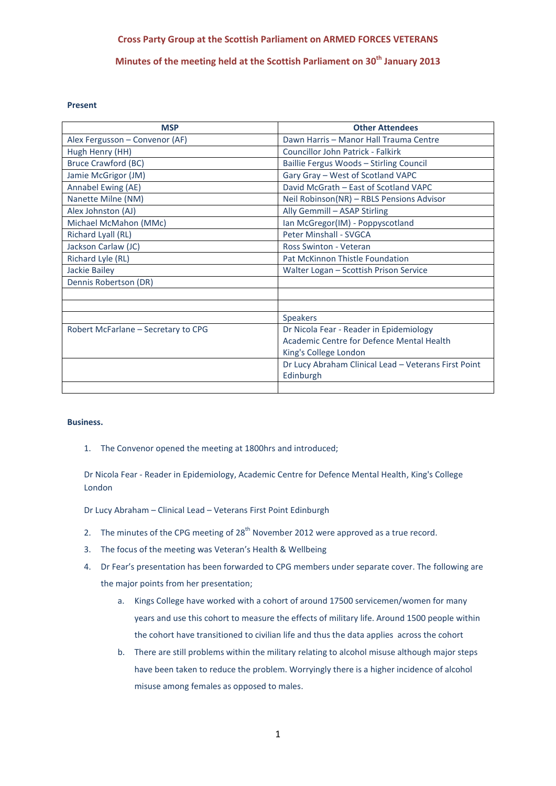## **Cross Party Group at the Scottish Parliament on ARMED FORCES VETERANS**

**Minutes of the meeting held at the Scottish Parliament on 30th January 2013**

#### **Present**

| <b>MSP</b>                          | <b>Other Attendees</b>                               |
|-------------------------------------|------------------------------------------------------|
| Alex Fergusson - Convenor (AF)      | Dawn Harris - Manor Hall Trauma Centre               |
| Hugh Henry (HH)                     | <b>Councillor John Patrick - Falkirk</b>             |
| <b>Bruce Crawford (BC)</b>          | Baillie Fergus Woods - Stirling Council              |
| Jamie McGrigor (JM)                 | Gary Gray - West of Scotland VAPC                    |
| Annabel Ewing (AE)                  | David McGrath - East of Scotland VAPC                |
| Nanette Milne (NM)                  | Neil Robinson(NR) - RBLS Pensions Advisor            |
| Alex Johnston (AJ)                  | Ally Gemmill - ASAP Stirling                         |
| Michael McMahon (MMc)               | Ian McGregor(IM) - Poppyscotland                     |
| Richard Lyall (RL)                  | <b>Peter Minshall - SVGCA</b>                        |
| Jackson Carlaw (JC)                 | <b>Ross Swinton - Veteran</b>                        |
| Richard Lyle (RL)                   | Pat McKinnon Thistle Foundation                      |
| <b>Jackie Bailey</b>                | Walter Logan - Scottish Prison Service               |
| Dennis Robertson (DR)               |                                                      |
|                                     |                                                      |
|                                     |                                                      |
|                                     | <b>Speakers</b>                                      |
| Robert McFarlane – Secretary to CPG | Dr Nicola Fear - Reader in Epidemiology              |
|                                     | Academic Centre for Defence Mental Health            |
|                                     | King's College London                                |
|                                     | Dr Lucy Abraham Clinical Lead - Veterans First Point |
|                                     | Edinburgh                                            |
|                                     |                                                      |

#### **Business.**

1. The Convenor opened the meeting at 1800hrs and introduced;

Dr Nicola Fear - Reader in Epidemiology, Academic Centre for Defence Mental Health, King's College London

Dr Lucy Abraham – Clinical Lead – Veterans First Point Edinburgh

- 2. The minutes of the CPG meeting of  $28<sup>th</sup>$  November 2012 were approved as a true record.
- 3. The focus of the meeting was Veteran's Health & Wellbeing
- 4. Dr Fear's presentation has been forwarded to CPG members under separate cover. The following are the major points from her presentation;
	- a. Kings College have worked with a cohort of around 17500 servicemen/women for many years and use this cohort to measure the effects of military life. Around 1500 people within the cohort have transitioned to civilian life and thus the data applies across the cohort
	- b. There are still problems within the military relating to alcohol misuse although major steps have been taken to reduce the problem. Worryingly there is a higher incidence of alcohol misuse among females as opposed to males.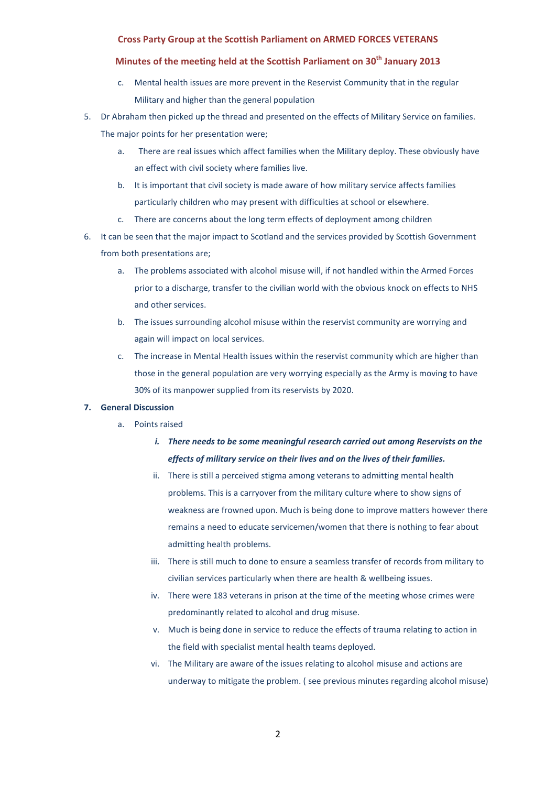#### **Cross Party Group at the Scottish Parliament on ARMED FORCES VETERANS**

### **Minutes of the meeting held at the Scottish Parliament on 30th January 2013**

- c. Mental health issues are more prevent in the Reservist Community that in the regular Military and higher than the general population
- 5. Dr Abraham then picked up the thread and presented on the effects of Military Service on families. The major points for her presentation were;
	- a. There are real issues which affect families when the Military deploy. These obviously have an effect with civil society where families live.
	- b. It is important that civil society is made aware of how military service affects families particularly children who may present with difficulties at school or elsewhere.
	- c. There are concerns about the long term effects of deployment among children
- 6. It can be seen that the major impact to Scotland and the services provided by Scottish Government from both presentations are;
	- a. The problems associated with alcohol misuse will, if not handled within the Armed Forces prior to a discharge, transfer to the civilian world with the obvious knock on effects to NHS and other services.
	- b. The issues surrounding alcohol misuse within the reservist community are worrying and again will impact on local services.
	- c. The increase in Mental Health issues within the reservist community which are higher than those in the general population are very worrying especially as the Army is moving to have 30% of its manpower supplied from its reservists by 2020.

#### **7. General Discussion**

- a. Points raised
	- *i. There needs to be some meaningful research carried out among Reservists on the effects of military service on their lives and on the lives of their families.*
	- ii. There is still a perceived stigma among veterans to admitting mental health problems. This is a carryover from the military culture where to show signs of weakness are frowned upon. Much is being done to improve matters however there remains a need to educate servicemen/women that there is nothing to fear about admitting health problems.
	- iii. There is still much to done to ensure a seamless transfer of records from military to civilian services particularly when there are health & wellbeing issues.
	- iv. There were 183 veterans in prison at the time of the meeting whose crimes were predominantly related to alcohol and drug misuse.
	- v. Much is being done in service to reduce the effects of trauma relating to action in the field with specialist mental health teams deployed.
	- vi. The Military are aware of the issues relating to alcohol misuse and actions are underway to mitigate the problem. ( see previous minutes regarding alcohol misuse)